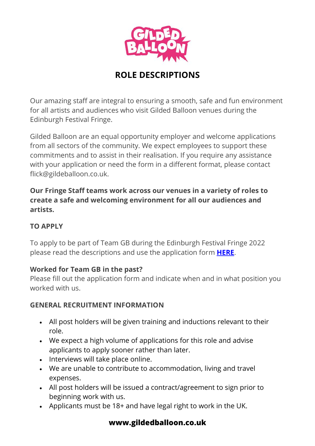

# **ROLE DESCRIPTIONS**

Our amazing staff are integral to ensuring a smooth, safe and fun environment for all artists and audiences who visit Gilded Balloon venues during the Edinburgh Festival Fringe.

Gilded Balloon are an equal opportunity employer and welcome applications from all sectors of the community. We expect employees to support these commitments and to assist in their realisation. If you require any assistance with your application or need the form in a different format, please contact flick@gildeballoon.co.uk.

**Our Fringe Staff teams work across our venues in a variety of roles to create a safe and welcoming environment for all our audiences and artists.**

## **TO APPLY**

To apply to be part of Team GB during the Edinburgh Festival Fringe 2022 please read the descriptions and use the application form **[HERE](https://gildedballoon.co.uk/about/temporary-fringe-jobs-2022/)**.

### **Worked for Team GB in the past?**

Please fill out the application form and indicate when and in what position you worked with us.

### **GENERAL RECRUITMENT INFORMATION**

- All post holders will be given training and inductions relevant to their role.
- We expect a high volume of applications for this role and advise applicants to apply sooner rather than later.
- Interviews will take place online.
- We are unable to contribute to accommodation, living and travel expenses.
- All post holders will be issued a contract/agreement to sign prior to beginning work with us.
- Applicants must be 18+ and have legal right to work in the UK.

## **[www.gildedballoon.co.uk](http://www.gildedballo0n.co.uk/)**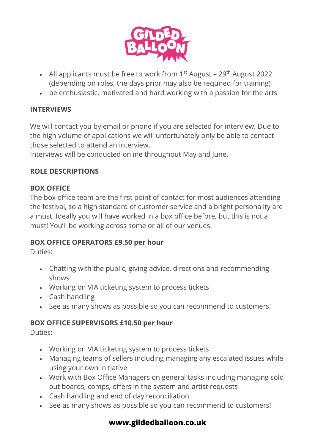

- All applicants must be free to work from  $1^{st}$  August 29<sup>th</sup> August 2022 (depending on roles, the days prior may also be required for training)
- be enthusiastic, motivated and hard working with a passion for the arts

### **INTERVIEWS**

We will contact you by email or phone if you are selected for interview. Due to the high volume of applications we will unfortunately only be able to contact those selected to attend an interview.

Interviews will be conducted online throughout May and June.

### **ROLE DESCRIPTIONS**

### **BOX OFFICE**

The box office team are the first point of contact for most audiences attending the festival, so a high standard of customer service and a bright personality are a must. Ideally you will have worked in a box office before, but this is not a must! You'll be working across some or all of our venues.

### **BOX OFFICE OPERATORS £9.50 per hour**

Duties:

- Chatting with the public, giving advice, directions and recommending shows
- Working on VIA ticketing system to process tickets
- Cash handling
- See as many shows as possible so you can recommend to customers!

## **BOX OFFICE SUPERVISORS £10.50 per hour**

Duties:

- Working on VIA ticketing system to process tickets
- Managing teams of sellers including managing any escalated issues while using your own initiative
- Work with Box Office Managers on general tasks including managing sold out boards, comps, offers in the system and artist requests
- Cash handling and end of day reconciliation
- See as many shows as possible so you can recommend to customers!

## **[www.gildedballoon.co.uk](http://www.gildedballo0n.co.uk/)**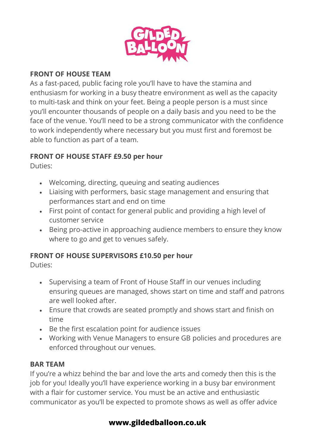

### **FRONT OF HOUSE TEAM**

As a fast-paced, public facing role you'll have to have the stamina and enthusiasm for working in a busy theatre environment as well as the capacity to multi-task and think on your feet. Being a people person is a must since you'll encounter thousands of people on a daily basis and you need to be the face of the venue. You'll need to be a strong communicator with the confidence to work independently where necessary but you must first and foremost be able to function as part of a team.

### **FRONT OF HOUSE STAFF £9.50 per hour**

Duties:

- Welcoming, directing, queuing and seating audiences
- Liaising with performers, basic stage management and ensuring that performances start and end on time
- First point of contact for general public and providing a high level of customer service
- Being pro-active in approaching audience members to ensure they know where to go and get to venues safely.

## **FRONT OF HOUSE SUPERVISORS £10.50 per hour**

Duties:

- Supervising a team of Front of House Staff in our venues including ensuring queues are managed, shows start on time and staff and patrons are well looked after.
- Ensure that crowds are seated promptly and shows start and finish on time
- Be the first escalation point for audience issues
- Working with Venue Managers to ensure GB policies and procedures are enforced throughout our venues.

### **BAR TEAM**

If you're a whizz behind the bar and love the arts and comedy then this is the job for you! Ideally you'll have experience working in a busy bar environment with a flair for customer service. You must be an active and enthusiastic communicator as you'll be expected to promote shows as well as offer advice

## **[www.gildedballoon.co.uk](http://www.gildedballo0n.co.uk/)**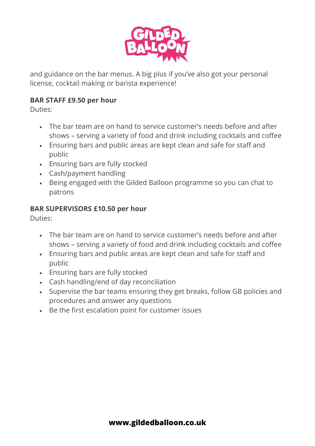

and guidance on the bar menus. A big plus if you've also got your personal license, cocktail making or barista experience!

### **BAR STAFF £9.50 per hour**

Duties:

- The bar team are on hand to service customer's needs before and after shows – serving a variety of food and drink including cocktails and coffee
- Ensuring bars and public areas are kept clean and safe for staff and public
- Ensuring bars are fully stocked
- Cash/payment handling
- Being engaged with the Gilded Balloon programme so you can chat to patrons

### **BAR SUPERVISORS £10.50 per hour**

Duties:

- The bar team are on hand to service customer's needs before and after shows – serving a variety of food and drink including cocktails and coffee
- Ensuring bars and public areas are kept clean and safe for staff and public
- Ensuring bars are fully stocked
- Cash handling/end of day reconciliation
- Supervise the bar teams ensuring they get breaks, follow GB policies and procedures and answer any questions
- Be the first escalation point for customer issues